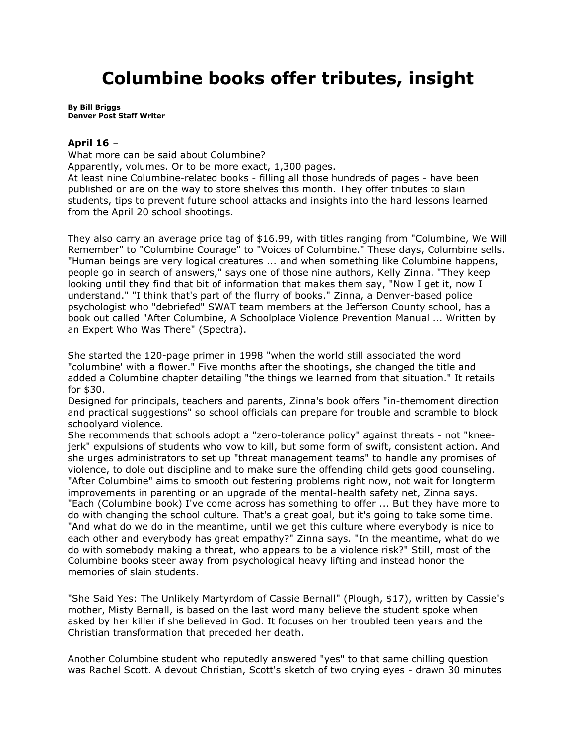## **Columbine books offer tributes, insight**

**By [Bill Briggs](mailto:living@denverpost.com) Denver Post Staff Writer**

## **April 16** –

What more can be said about Columbine?

Apparently, volumes. Or to be more exact, 1,300 pages.

At least nine Columbine-related books - filling all those hundreds of pages - have been published or are on the way to store shelves this month. They offer tributes to slain students, tips to prevent future school attacks and insights into the hard lessons learned from the April 20 school shootings.

They also carry an average price tag of \$16.99, with titles ranging from "Columbine, We Will Remember" to "Columbine Courage" to "Voices of Columbine." These days, Columbine sells. "Human beings are very logical creatures ... and when something like Columbine happens, people go in search of answers," says one of those nine authors, Kelly Zinna. "They keep looking until they find that bit of information that makes them say, "Now I get it, now I understand." "I think that's part of the flurry of books." Zinna, a Denver-based police psychologist who "debriefed" SWAT team members at the Jefferson County school, has a book out called "After Columbine, A Schoolplace Violence Prevention Manual ... Written by an Expert Who Was There" (Spectra).

She started the 120-page primer in 1998 "when the world still associated the word "columbine' with a flower." Five months after the shootings, she changed the title and added a Columbine chapter detailing "the things we learned from that situation." It retails for \$30.

Designed for principals, teachers and parents, Zinna's book offers "in-themoment direction and practical suggestions" so school officials can prepare for trouble and scramble to block schoolyard violence.

She recommends that schools adopt a "zero-tolerance policy" against threats - not "kneejerk" expulsions of students who vow to kill, but some form of swift, consistent action. And she urges administrators to set up "threat management teams" to handle any promises of violence, to dole out discipline and to make sure the offending child gets good counseling. "After Columbine" aims to smooth out festering problems right now, not wait for longterm improvements in parenting or an upgrade of the mental-health safety net, Zinna says. "Each (Columbine book) I've come across has something to offer ... But they have more to do with changing the school culture. That's a great goal, but it's going to take some time. "And what do we do in the meantime, until we get this culture where everybody is nice to each other and everybody has great empathy?" Zinna says. "In the meantime, what do we do with somebody making a threat, who appears to be a violence risk?" Still, most of the Columbine books steer away from psychological heavy lifting and instead honor the memories of slain students.

"She Said Yes: The Unlikely Martyrdom of Cassie Bernall" (Plough, \$17), written by Cassie's mother, Misty Bernall, is based on the last word many believe the student spoke when asked by her killer if she believed in God. It focuses on her troubled teen years and the Christian transformation that preceded her death.

Another Columbine student who reputedly answered "yes" to that same chilling question was Rachel Scott. A devout Christian, Scott's sketch of two crying eyes - drawn 30 minutes